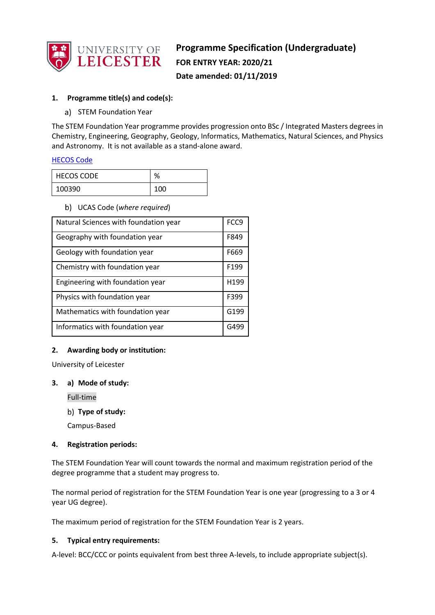

# **Programme Specification (Undergraduate) FOR ENTRY YEAR: 2020/21 Date amended: 01/11/2019**

## **1. Programme title(s) and code(s):**

a) STEM Foundation Year

The STEM Foundation Year programme provides progression onto BSc / Integrated Masters degrees in Chemistry, Engineering, Geography, Geology, Informatics, Mathematics, Natural Sciences, and Physics and Astronomy. It is not available as a stand-alone award.

#### [HECOS Code](https://www.hesa.ac.uk/innovation/hecos)

| <b>HECOS CODE</b> | %   |
|-------------------|-----|
| 100390            | 100 |

#### UCAS Code (*where required*)

| Natural Sciences with foundation year | FCC9             |
|---------------------------------------|------------------|
| Geography with foundation year        | F849             |
| Geology with foundation year          | F669             |
| Chemistry with foundation year        | F <sub>199</sub> |
| Engineering with foundation year      | H199             |
| Physics with foundation year          | F399             |
| Mathematics with foundation year      | G199             |
| Informatics with foundation year      | G499             |

### **2. Awarding body or institution:**

University of Leicester

#### **3. a) Mode of study:**

Full-time

**Type of study:**

Campus-Based

### **4. Registration periods:**

The STEM Foundation Year will count towards the normal and maximum registration period of the degree programme that a student may progress to.

The normal period of registration for the STEM Foundation Year is one year (progressing to a 3 or 4 year UG degree).

The maximum period of registration for the STEM Foundation Year is 2 years.

#### **5. Typical entry requirements:**

A-level: BCC/CCC or points equivalent from best three A-levels, to include appropriate subject(s).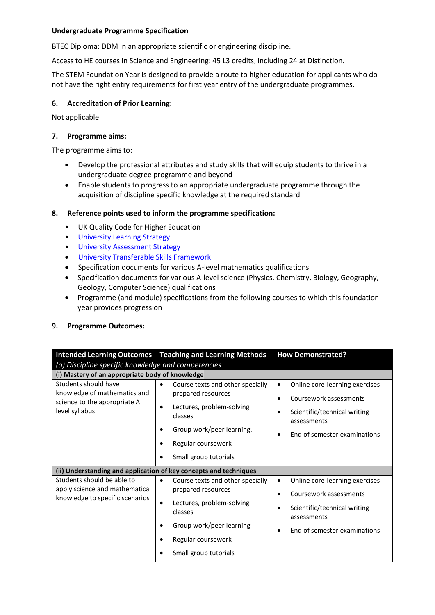BTEC Diploma: DDM in an appropriate scientific or engineering discipline.

Access to HE courses in Science and Engineering: 45 L3 credits, including 24 at Distinction.

The STEM Foundation Year is designed to provide a route to higher education for applicants who do not have the right entry requirements for first year entry of the undergraduate programmes.

### **6. Accreditation of Prior Learning:**

Not applicable

#### **7. Programme aims:**

The programme aims to:

- Develop the professional attributes and study skills that will equip students to thrive in a undergraduate degree programme and beyond
- Enable students to progress to an appropriate undergraduate programme through the acquisition of discipline specific knowledge at the required standard

#### **8. Reference points used to inform the programme specification:**

- UK Quality Code for Higher Education
- University Learnin[g Strategy](https://www2.le.ac.uk/offices/sas2/quality/learnteach)
- [University Assessment Strategy](https://www2.le.ac.uk/offices/sas2/quality/learnteach)
- [University Transferable Skills Framework](https://www2.le.ac.uk/offices/lli/events/previous-events/learning-and-teaching-conference/ltconference/transferable-skills-framework/view)
- Specification documents for various A-level mathematics qualifications
- Specification documents for various A-level science (Physics, Chemistry, Biology, Geography, Geology, Computer Science) qualifications
- Programme (and module) specifications from the following courses to which this foundation year provides progression

#### **9. Programme Outcomes:**

|                                                                                                        | <b>Intended Learning Outcomes</b> Teaching and Learning Methods                                                                                                                      | <b>How Demonstrated?</b>                                                                                                                                                    |  |  |
|--------------------------------------------------------------------------------------------------------|--------------------------------------------------------------------------------------------------------------------------------------------------------------------------------------|-----------------------------------------------------------------------------------------------------------------------------------------------------------------------------|--|--|
|                                                                                                        | (a) Discipline specific knowledge and competencies                                                                                                                                   |                                                                                                                                                                             |  |  |
| (i) Mastery of an appropriate body of knowledge                                                        |                                                                                                                                                                                      |                                                                                                                                                                             |  |  |
| Students should have<br>knowledge of mathematics and<br>science to the appropriate A<br>level syllabus | Course texts and other specially<br>prepared resources<br>Lectures, problem-solving<br>٠<br>classes<br>Group work/peer learning.<br>٠<br>Regular coursework<br>Small group tutorials | Online core-learning exercises<br>٠<br>Coursework assessments<br>$\bullet$<br>Scientific/technical writing<br>$\bullet$<br>assessments<br>End of semester examinations<br>٠ |  |  |
|                                                                                                        | (ii) Understanding and application of key concepts and techniques                                                                                                                    |                                                                                                                                                                             |  |  |
| Students should be able to                                                                             | Course texts and other specially<br>$\bullet$                                                                                                                                        | Online core-learning exercises                                                                                                                                              |  |  |
| apply science and mathematical<br>knowledge to specific scenarios                                      | prepared resources                                                                                                                                                                   | Coursework assessments<br>$\bullet$                                                                                                                                         |  |  |
|                                                                                                        | Lectures, problem-solving<br>٠<br>classes                                                                                                                                            | Scientific/technical writing<br>٠<br>assessments                                                                                                                            |  |  |
|                                                                                                        | Group work/peer learning<br>٠                                                                                                                                                        | End of semester examinations<br>$\bullet$                                                                                                                                   |  |  |
|                                                                                                        | Regular coursework                                                                                                                                                                   |                                                                                                                                                                             |  |  |
|                                                                                                        | Small group tutorials                                                                                                                                                                |                                                                                                                                                                             |  |  |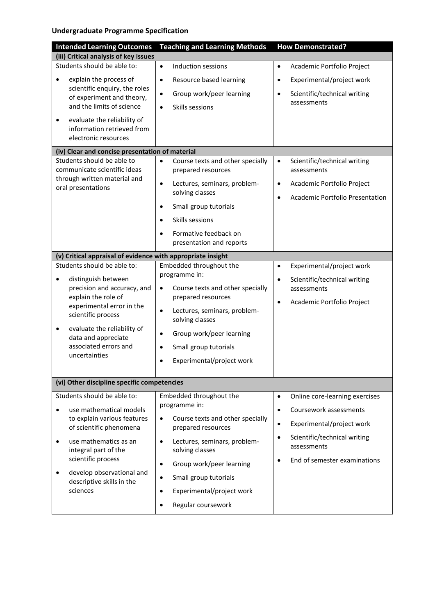| <b>Intended Learning Outcomes</b>                           | <b>Teaching and Learning Methods</b>                         | <b>How Demonstrated?</b>                                 |
|-------------------------------------------------------------|--------------------------------------------------------------|----------------------------------------------------------|
| (iii) Critical analysis of key issues                       |                                                              |                                                          |
| Students should be able to:                                 | $\bullet$<br>Induction sessions                              | Academic Portfolio Project<br>$\bullet$                  |
| explain the process of<br>$\bullet$                         | Resource based learning<br>$\bullet$                         | Experimental/project work<br>$\bullet$                   |
| scientific enquiry, the roles                               | Group work/peer learning<br>$\bullet$                        | Scientific/technical writing<br>$\bullet$                |
| of experiment and theory,<br>and the limits of science      | Skills sessions<br>$\bullet$                                 | assessments                                              |
| evaluate the reliability of<br>$\bullet$                    |                                                              |                                                          |
| information retrieved from                                  |                                                              |                                                          |
| electronic resources                                        |                                                              |                                                          |
| (iv) Clear and concise presentation of material             |                                                              |                                                          |
| Students should be able to                                  | Course texts and other specially<br>$\bullet$                | Scientific/technical writing<br>$\bullet$                |
| communicate scientific ideas                                | prepared resources                                           | assessments                                              |
| through written material and<br>oral presentations          | Lectures, seminars, problem-<br>$\bullet$                    | Academic Portfolio Project<br>$\bullet$                  |
|                                                             | solving classes                                              | <b>Academic Portfolio Presentation</b><br>$\bullet$      |
|                                                             | Small group tutorials<br>$\bullet$                           |                                                          |
|                                                             | Skills sessions<br>$\bullet$                                 |                                                          |
|                                                             | Formative feedback on<br>$\bullet$                           |                                                          |
|                                                             | presentation and reports                                     |                                                          |
| (v) Critical appraisal of evidence with appropriate insight |                                                              |                                                          |
| Students should be able to:                                 | Embedded throughout the                                      | Experimental/project work<br>$\bullet$                   |
| distinguish between<br>$\bullet$                            | programme in:                                                | Scientific/technical writing<br>$\bullet$                |
| precision and accuracy, and                                 | Course texts and other specially<br>$\bullet$                | assessments                                              |
| explain the role of<br>experimental error in the            | prepared resources                                           | Academic Portfolio Project<br>$\bullet$                  |
| scientific process                                          | Lectures, seminars, problem-<br>$\bullet$<br>solving classes |                                                          |
| evaluate the reliability of<br>٠<br>data and appreciate     | Group work/peer learning<br>$\bullet$                        |                                                          |
| associated errors and                                       | Small group tutorials<br>$\bullet$                           |                                                          |
| uncertainties                                               | Experimental/project work<br>$\bullet$                       |                                                          |
|                                                             |                                                              |                                                          |
| (vi) Other discipline specific competencies                 |                                                              |                                                          |
| Students should be able to:                                 | Embedded throughout the                                      | Online core-learning exercises<br>$\bullet$              |
| use mathematical models<br>$\bullet$                        | programme in:                                                | Coursework assessments<br>$\bullet$                      |
| to explain various features                                 | Course texts and other specially<br>$\bullet$                | Experimental/project work<br>$\bullet$                   |
| of scientific phenomena                                     | prepared resources                                           |                                                          |
| use mathematics as an<br>$\bullet$<br>integral part of the  | Lectures, seminars, problem-<br>$\bullet$<br>solving classes | Scientific/technical writing<br>$\bullet$<br>assessments |
| scientific process                                          | Group work/peer learning<br>$\bullet$                        | End of semester examinations<br>$\bullet$                |
| develop observational and<br>٠<br>descriptive skills in the | Small group tutorials<br>$\bullet$                           |                                                          |
| sciences                                                    | Experimental/project work<br>$\bullet$                       |                                                          |
|                                                             | Regular coursework                                           |                                                          |
|                                                             |                                                              |                                                          |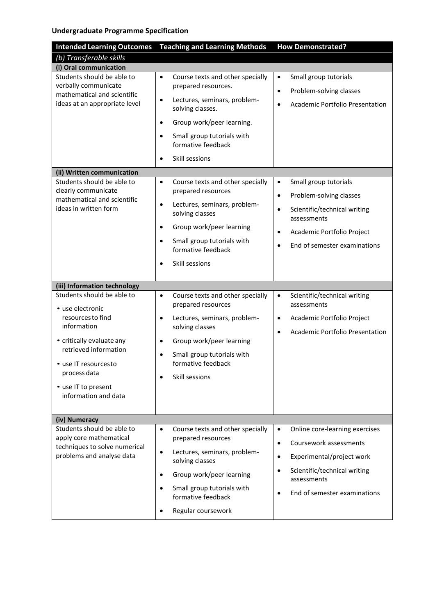| <b>Intended Learning Outcomes</b>                                                                                                                                                                                                                               | <b>Teaching and Learning Methods</b>                                                                                                                                                                                                                                | <b>How Demonstrated?</b>                                                                                                                                                                                                              |
|-----------------------------------------------------------------------------------------------------------------------------------------------------------------------------------------------------------------------------------------------------------------|---------------------------------------------------------------------------------------------------------------------------------------------------------------------------------------------------------------------------------------------------------------------|---------------------------------------------------------------------------------------------------------------------------------------------------------------------------------------------------------------------------------------|
| (b) Transferable skills                                                                                                                                                                                                                                         |                                                                                                                                                                                                                                                                     |                                                                                                                                                                                                                                       |
| (i) Oral communication                                                                                                                                                                                                                                          |                                                                                                                                                                                                                                                                     |                                                                                                                                                                                                                                       |
| Students should be able to<br>verbally communicate<br>mathematical and scientific<br>ideas at an appropriate level                                                                                                                                              | Course texts and other specially<br>$\bullet$<br>prepared resources.<br>Lectures, seminars, problem-<br>$\bullet$<br>solving classes.<br>Group work/peer learning.<br>$\bullet$<br>Small group tutorials with                                                       | Small group tutorials<br>$\bullet$<br>Problem-solving classes<br>$\bullet$<br><b>Academic Portfolio Presentation</b><br>$\bullet$                                                                                                     |
|                                                                                                                                                                                                                                                                 | formative feedback<br>Skill sessions<br>$\bullet$                                                                                                                                                                                                                   |                                                                                                                                                                                                                                       |
| (ii) Written communication                                                                                                                                                                                                                                      |                                                                                                                                                                                                                                                                     |                                                                                                                                                                                                                                       |
| Students should be able to<br>clearly communicate<br>mathematical and scientific<br>ideas in written form                                                                                                                                                       | Course texts and other specially<br>$\bullet$<br>prepared resources<br>Lectures, seminars, problem-<br>$\bullet$<br>solving classes<br>Group work/peer learning<br>$\bullet$<br>Small group tutorials with<br>٠<br>formative feedback<br>Skill sessions             | Small group tutorials<br>$\bullet$<br>Problem-solving classes<br>$\bullet$<br>Scientific/technical writing<br>$\bullet$<br>assessments<br>Academic Portfolio Project<br>$\bullet$<br>End of semester examinations<br>$\bullet$        |
|                                                                                                                                                                                                                                                                 |                                                                                                                                                                                                                                                                     |                                                                                                                                                                                                                                       |
| (iii) Information technology<br>Students should be able to<br>• use electronic<br>resources to find<br>information<br>• critically evaluate any<br>retrieved information<br>• use IT resourcesto<br>process data<br>• use IT to present<br>information and data | Course texts and other specially<br>$\bullet$<br>prepared resources<br>Lectures, seminars, problem-<br>$\bullet$<br>solving classes<br>Group work/peer learning<br>$\bullet$<br>Small group tutorials with<br>٠<br>formative feedback<br>Skill sessions             | Scientific/technical writing<br>$\bullet$<br>assessments<br>Academic Portfolio Project<br>$\bullet$<br><b>Academic Portfolio Presentation</b><br>$\bullet$                                                                            |
| (iv) Numeracy                                                                                                                                                                                                                                                   |                                                                                                                                                                                                                                                                     |                                                                                                                                                                                                                                       |
| Students should be able to<br>apply core mathematical<br>techniques to solve numerical<br>problems and analyse data                                                                                                                                             | Course texts and other specially<br>$\bullet$<br>prepared resources<br>Lectures, seminars, problem-<br>$\bullet$<br>solving classes<br>Group work/peer learning<br>$\bullet$<br>Small group tutorials with<br>$\bullet$<br>formative feedback<br>Regular coursework | Online core-learning exercises<br>$\bullet$<br>Coursework assessments<br>$\bullet$<br>Experimental/project work<br>$\bullet$<br>Scientific/technical writing<br>$\bullet$<br>assessments<br>End of semester examinations<br>$\bullet$ |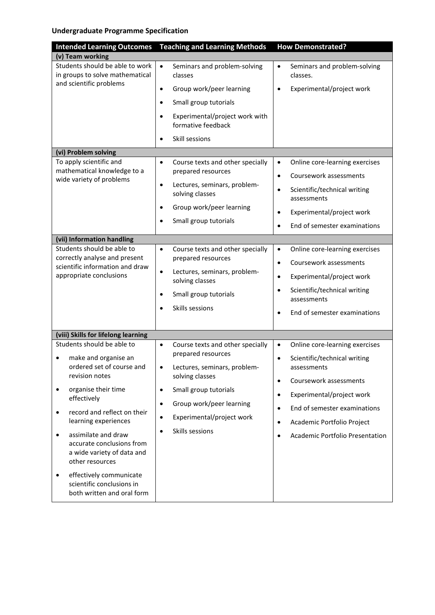| <b>Intended Learning Outcomes</b>                                                                      | <b>Teaching and Learning Methods</b>                            | <b>How Demonstrated?</b>                                 |
|--------------------------------------------------------------------------------------------------------|-----------------------------------------------------------------|----------------------------------------------------------|
| (v) Team working                                                                                       |                                                                 |                                                          |
| Students should be able to work<br>in groups to solve mathematical                                     | $\bullet$<br>Seminars and problem-solving<br>classes            | Seminars and problem-solving<br>$\bullet$<br>classes.    |
| and scientific problems                                                                                | Group work/peer learning<br>$\bullet$                           | Experimental/project work<br>$\bullet$                   |
|                                                                                                        | Small group tutorials<br>$\bullet$                              |                                                          |
|                                                                                                        | Experimental/project work with<br>formative feedback            |                                                          |
|                                                                                                        | Skill sessions<br>$\bullet$                                     |                                                          |
| (vi) Problem solving                                                                                   |                                                                 |                                                          |
| To apply scientific and<br>mathematical knowledge to a                                                 | Course texts and other specially<br>$\bullet$                   | Online core-learning exercises<br>$\bullet$              |
| wide variety of problems                                                                               | prepared resources                                              | Coursework assessments<br>$\bullet$                      |
|                                                                                                        | Lectures, seminars, problem-<br>$\bullet$<br>solving classes    | Scientific/technical writing<br>$\bullet$<br>assessments |
|                                                                                                        | Group work/peer learning<br>$\bullet$                           | Experimental/project work<br>$\bullet$                   |
|                                                                                                        | Small group tutorials                                           | End of semester examinations                             |
| (vii) Information handling                                                                             |                                                                 |                                                          |
| Students should be able to                                                                             | Course texts and other specially<br>$\bullet$                   | Online core-learning exercises<br>$\bullet$              |
| correctly analyse and present<br>scientific information and draw<br>appropriate conclusions            | prepared resources                                              | Coursework assessments<br>$\bullet$                      |
|                                                                                                        | $\bullet$<br>Lectures, seminars, problem-<br>solving classes    | Experimental/project work<br>$\bullet$                   |
|                                                                                                        | Small group tutorials<br>$\bullet$                              | Scientific/technical writing<br>$\bullet$                |
|                                                                                                        | Skills sessions                                                 | assessments                                              |
|                                                                                                        |                                                                 | End of semester examinations                             |
| (viii) Skills for lifelong learning                                                                    |                                                                 |                                                          |
| Students should be able to                                                                             | Course texts and other specially<br>$\bullet$                   | Online core-learning exercises<br>$\bullet$              |
| make and organise an<br>ordered set of course and                                                      | prepared resources<br>Lectures, seminars, problem-<br>$\bullet$ | Scientific/technical writing<br>$\bullet$<br>assessments |
| revision notes                                                                                         | solving classes                                                 | Coursework assessments<br>$\bullet$                      |
| organise their time<br>٠<br>effectively                                                                | Small group tutorials<br>$\bullet$                              | Experimental/project work<br>$\bullet$                   |
| record and reflect on their<br>$\bullet$                                                               | Group work/peer learning<br>$\bullet$                           | End of semester examinations<br>$\bullet$                |
| learning experiences                                                                                   | Experimental/project work<br>$\bullet$                          | Academic Portfolio Project                               |
| assimilate and draw<br>٠<br>accurate conclusions from<br>a wide variety of data and<br>other resources | Skills sessions                                                 | Academic Portfolio Presentation                          |
| effectively communicate<br>٠<br>scientific conclusions in<br>both written and oral form                |                                                                 |                                                          |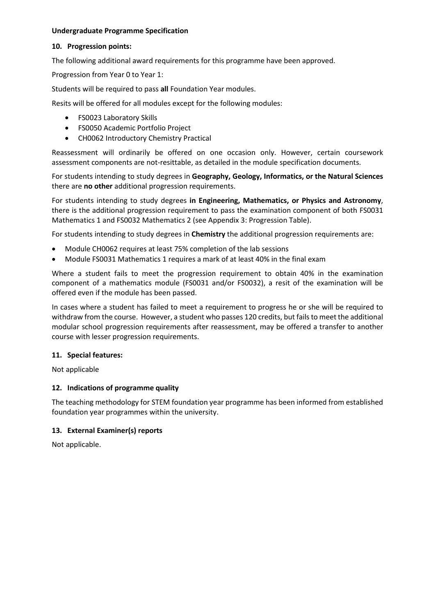#### **10. Progression points:**

The following additional award requirements for this programme have been approved.

Progression from Year 0 to Year 1:

Students will be required to pass **all** Foundation Year modules.

Resits will be offered for all modules except for the following modules:

- FS0023 Laboratory Skills
- FS0050 Academic Portfolio Project
- CH0062 Introductory Chemistry Practical

Reassessment will ordinarily be offered on one occasion only. However, certain coursework assessment components are not-resittable, as detailed in the module specification documents.

For students intending to study degrees in **Geography, Geology, Informatics, or the Natural Sciences** there are **no other** additional progression requirements.

For students intending to study degrees **in Engineering, Mathematics, or Physics and Astronomy**, there is the additional progression requirement to pass the examination component of both FS0031 Mathematics 1 and FS0032 Mathematics 2 (see Appendix 3: Progression Table).

For students intending to study degrees in **Chemistry** the additional progression requirements are:

- Module CH0062 requires at least 75% completion of the lab sessions
- Module FS0031 Mathematics 1 requires a mark of at least 40% in the final exam

Where a student fails to meet the progression requirement to obtain 40% in the examination component of a mathematics module (FS0031 and/or FS0032), a resit of the examination will be offered even if the module has been passed.

In cases where a student has failed to meet a requirement to progress he or she will be required to withdraw from the course. However, a student who passes 120 credits, but fails to meet the additional modular school progression requirements after reassessment, may be offered a transfer to another course with lesser progression requirements.

#### **11. Special features:**

Not applicable

#### **12. Indications of programme quality**

The teaching methodology for STEM foundation year programme has been informed from established foundation year programmes within the university.

#### **13. External Examiner(s) reports**

Not applicable.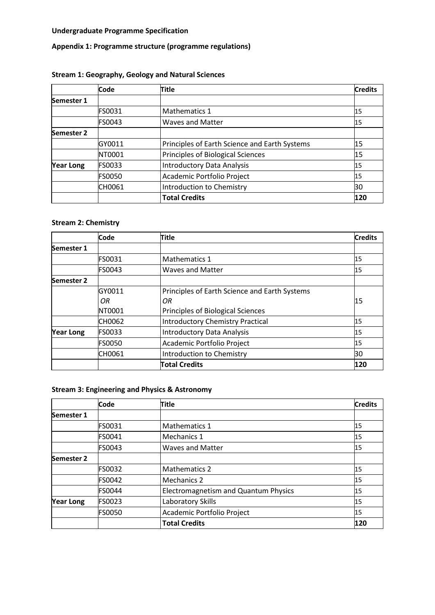# **Appendix 1: Programme structure (programme regulations)**

# **Stream 1: Geography, Geology and Natural Sciences**

|                  | Code          | Title                                         | <b>Credits</b> |
|------------------|---------------|-----------------------------------------------|----------------|
| Semester 1       |               |                                               |                |
|                  | FS0031        | Mathematics 1                                 | 15             |
|                  | <b>FS0043</b> | <b>Waves and Matter</b>                       | 15             |
| Semester 2       |               |                                               |                |
|                  | GY0011        | Principles of Earth Science and Earth Systems | 15             |
|                  | NT0001        | Principles of Biological Sciences             | 15             |
| <b>Year Long</b> | <b>FS0033</b> | <b>Introductory Data Analysis</b>             | 15             |
|                  | <b>FS0050</b> | Academic Portfolio Project                    | 15             |
|                  | CH0061        | Introduction to Chemistry                     | 30             |
|                  |               | <b>Total Credits</b>                          | 120            |

# **Stream 2: Chemistry**

|                  | Code          | Title                                         | <b>Credits</b> |
|------------------|---------------|-----------------------------------------------|----------------|
| Semester 1       |               |                                               |                |
|                  | <b>FS0031</b> | <b>Mathematics 1</b>                          | 15             |
|                  | FS0043        | <b>Waves and Matter</b>                       | 15             |
| Semester 2       |               |                                               |                |
|                  | GY0011        | Principles of Earth Science and Earth Systems |                |
|                  | ΟR            | ΟR                                            | 15             |
|                  | NT0001        | Principles of Biological Sciences             |                |
|                  | CH0062        | <b>Introductory Chemistry Practical</b>       | 15             |
| <b>Year Long</b> | FS0033        | <b>Introductory Data Analysis</b>             | 15             |
|                  | <b>FS0050</b> | Academic Portfolio Project                    | 15             |
|                  | CH0061        | Introduction to Chemistry                     | 30             |
|                  |               | <b>Total Credits</b>                          | 120            |

# **Stream 3: Engineering and Physics & Astronomy**

|                   | <b>Code</b>   | <b>Title</b>                         | <b>Credits</b> |
|-------------------|---------------|--------------------------------------|----------------|
| Semester 1        |               |                                      |                |
|                   | FS0031        | <b>Mathematics 1</b>                 | 15             |
|                   | FS0041        | Mechanics 1                          | 15             |
|                   | FS0043        | <b>Waves and Matter</b>              | 15             |
| <b>Semester 2</b> |               |                                      |                |
|                   | FS0032        | <b>Mathematics 2</b>                 | 15             |
|                   | FS0042        | Mechanics 2                          | 15             |
|                   | <b>FS0044</b> | Electromagnetism and Quantum Physics | 15             |
| <b>Year Long</b>  | FS0023        | Laboratory Skills                    | 15             |
|                   | <b>FS0050</b> | Academic Portfolio Project           | 15             |
|                   |               | <b>Total Credits</b>                 | 120            |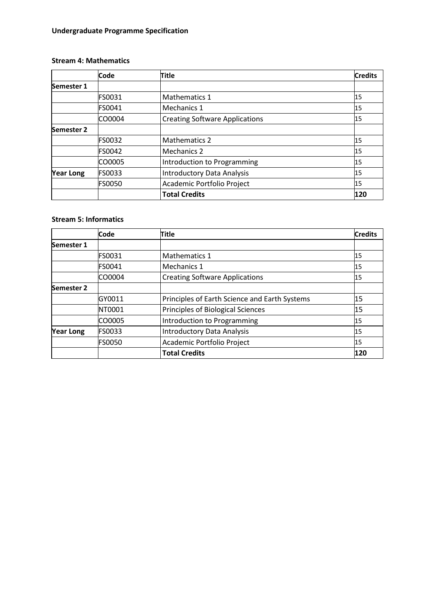#### **Stream 4: Mathematics**

|            | Code          | <b>Title</b>                          | <b>Credits</b> |
|------------|---------------|---------------------------------------|----------------|
| Semester 1 |               |                                       |                |
|            | FS0031        | Mathematics 1                         | 15             |
|            | FS0041        | Mechanics 1                           | 15             |
|            | CO0004        | <b>Creating Software Applications</b> | 15             |
| Semester 2 |               |                                       |                |
|            | <b>FS0032</b> | <b>Mathematics 2</b>                  | 15             |
|            | FS0042        | Mechanics 2                           | 15             |
|            | CO0005        | Introduction to Programming           | 15             |
| Year Long  | <b>FS0033</b> | <b>Introductory Data Analysis</b>     | 15             |
|            | <b>FS0050</b> | Academic Portfolio Project            | 15             |
|            |               | <b>Total Credits</b>                  | 120            |

### **Stream 5: Informatics**

|                  | Code          | Title                                         | <b>Credits</b> |
|------------------|---------------|-----------------------------------------------|----------------|
| Semester 1       |               |                                               |                |
|                  | FS0031        | Mathematics 1                                 | 15             |
|                  | FS0041        | Mechanics 1                                   | 15             |
|                  | CO0004        | <b>Creating Software Applications</b>         | 15             |
| Semester 2       |               |                                               |                |
|                  | GY0011        | Principles of Earth Science and Earth Systems | 15             |
|                  | NT0001        | Principles of Biological Sciences             | 15             |
|                  | CO0005        | Introduction to Programming                   | 15             |
| <b>Year Long</b> | <b>FS0033</b> | <b>Introductory Data Analysis</b>             | 15             |
|                  | <b>FS0050</b> | Academic Portfolio Project                    | 15             |
|                  |               | <b>Total Credits</b>                          | 120            |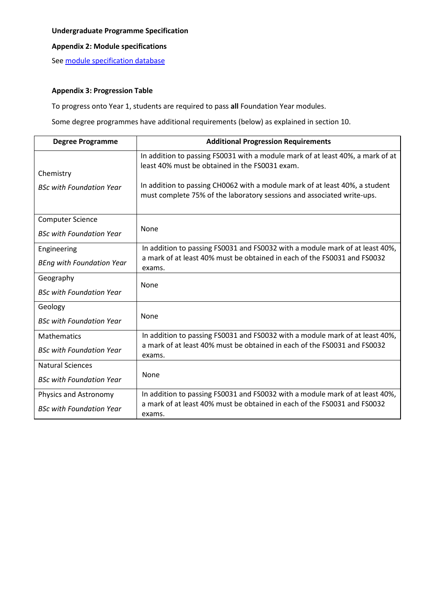## **Appendix 2: Module specifications**

See [module specification database](http://www.le.ac.uk/sas/courses/documentation)

#### **Appendix 3: Progression Table**

To progress onto Year 1, students are required to pass **all** Foundation Year modules.

Some degree programmes have additional requirements (below) as explained in section 10.

| <b>Degree Programme</b>                      | <b>Additional Progression Requirements</b>                                                                                                                                                                                                                                                |
|----------------------------------------------|-------------------------------------------------------------------------------------------------------------------------------------------------------------------------------------------------------------------------------------------------------------------------------------------|
| Chemistry<br><b>BSc with Foundation Year</b> | In addition to passing FS0031 with a module mark of at least 40%, a mark of at<br>least 40% must be obtained in the FS0031 exam.<br>In addition to passing CH0062 with a module mark of at least 40%, a student<br>must complete 75% of the laboratory sessions and associated write-ups. |
| <b>Computer Science</b>                      |                                                                                                                                                                                                                                                                                           |
| <b>BSc with Foundation Year</b>              | None                                                                                                                                                                                                                                                                                      |
| Engineering                                  | In addition to passing FS0031 and FS0032 with a module mark of at least 40%,                                                                                                                                                                                                              |
| <b>BEng with Foundation Year</b>             | a mark of at least 40% must be obtained in each of the FS0031 and FS0032<br>exams.                                                                                                                                                                                                        |
| Geography                                    | <b>None</b>                                                                                                                                                                                                                                                                               |
| <b>BSc with Foundation Year</b>              |                                                                                                                                                                                                                                                                                           |
| Geology                                      |                                                                                                                                                                                                                                                                                           |
| <b>BSc with Foundation Year</b>              | None                                                                                                                                                                                                                                                                                      |
| <b>Mathematics</b>                           | In addition to passing FS0031 and FS0032 with a module mark of at least 40%,                                                                                                                                                                                                              |
| <b>BSc with Foundation Year</b>              | a mark of at least 40% must be obtained in each of the FS0031 and FS0032<br>exams.                                                                                                                                                                                                        |
| <b>Natural Sciences</b>                      |                                                                                                                                                                                                                                                                                           |
| <b>BSc with Foundation Year</b>              | None                                                                                                                                                                                                                                                                                      |
| Physics and Astronomy                        | In addition to passing FS0031 and FS0032 with a module mark of at least 40%,                                                                                                                                                                                                              |
| <b>BSc with Foundation Year</b>              | a mark of at least 40% must be obtained in each of the FS0031 and FS0032<br>exams.                                                                                                                                                                                                        |